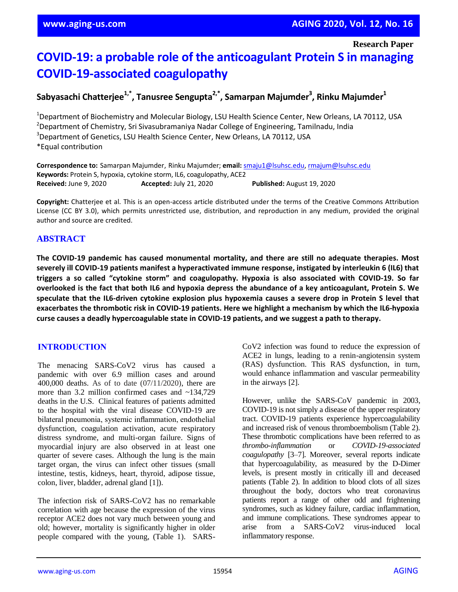**Research Paper**

# **COVID-19: a probable role of the anticoagulant Protein S in managing COVID-19-associated coagulopathy**

## **Sabyasachi Chatterjee1,\*, Tanusree Sengupta2,\*, Samarpan Majumder<sup>3</sup> , Rinku Majumder<sup>1</sup>**

<sup>1</sup>Department of Biochemistry and Molecular Biology, LSU Health Science Center, New Orleans, LA 70112, USA <sup>2</sup>Department of Chemistry, Sri Sivasubramaniya Nadar College of Engineering, Tamilnadu, India <sup>3</sup>Department of Genetics, LSU Health Science Center, New Orleans, LA 70112, USA \*Equal contribution

**Correspondence to:** Samarpan Majumder, Rinku Majumder; **email:** [smaju1@lsuhsc.edu,](mailto:smaju1@lsuhsc.edu) [rmajum@lsuhsc.edu](mailto:rmajum@lsuhsc.edu) **Keywords:** Protein S, hypoxia, cytokine storm, IL6, coagulopathy, ACE2 **Received:** June 9, 2020 **Accepted:** July 21, 2020 **Published:** August 19, 2020

**Copyright:** Chatterjee et al. This is an open-access article distributed under the terms of the Creative Commons Attribution License (CC BY 3.0), which permits unrestricted use, distribution, and reproduction in any medium, provided the original author and source are credited.

## **ABSTRACT**

**The COVID-19 pandemic has caused monumental mortality, and there are still no adequate therapies. Most severely ill COVID-19 patients manifest a hyperactivated immune response, instigated by interleukin 6 (IL6) that triggers a so called "cytokine storm" and coagulopathy. Hypoxia is also associated with COVID-19. So far** overlooked is the fact that both IL6 and hypoxia depress the abundance of a key anticoagulant, Protein S. We speculate that the IL6-driven cytokine explosion plus hypoxemia causes a severe drop in Protein S level that **exacerbates the thrombotic risk in COVID-19 patients. Here we highlight a mechanism by which the IL6-hypoxia curse causes a deadly hypercoagulable state in COVID-19 patients, and we suggest a path to therapy.**

## **INTRODUCTION**

The menacing SARS-CoV2 virus has caused a pandemic with over 6.9 million cases and around 400,000 deaths. As of to date (07/11/2020), there are more than 3.2 million confirmed cases and ~134,729 deaths in the U.S. Clinical features of patients admitted to the hospital with the viral disease COVID-19 are bilateral pneumonia, systemic inflammation, endothelial dysfunction, coagulation activation, acute respiratory distress syndrome, and multi-organ failure. Signs of myocardial injury are also observed in at least one quarter of severe cases. Although the lung is the main target organ, the virus can infect other tissues (small intestine, testis, kidneys, heart, thyroid, adipose tissue, colon, liver, bladder, adrenal gland [1]).

The infection risk of SARS-CoV2 has no remarkable correlation with age because the expression of the virus receptor ACE2 does not vary much between young and old; however, mortality is significantly higher in older people compared with the young, (Table 1). SARS- CoV2 infection was found to reduce the expression of ACE2 in lungs, leading to a renin-angiotensin system (RAS) dysfunction. This RAS dysfunction, in turn, would enhance inflammation and vascular permeability in the airways [2].

However, unlike the SARS-CoV pandemic in 2003, COVID-19 is not simply a disease of the upper respiratory tract. COVID-19 patients experience hypercoagulability and increased risk of venous thromboembolism (Table 2). These thrombotic complications have been referred to as *thrombo-inflammation* or *COVID-19-associated coagulopathy* [3–7]. Moreover, several reports indicate that hypercoagulability, as measured by the D-Dimer levels, is present mostly in critically ill and deceased patients (Table 2). In addition to blood clots of all sizes throughout the body, doctors who treat coronavirus patients report a range of other odd and frightening syndromes, such as kidney failure, cardiac inflammation, and immune complications. These syndromes appear to arise from a SARS-CoV2 virus-induced local inflammatory response.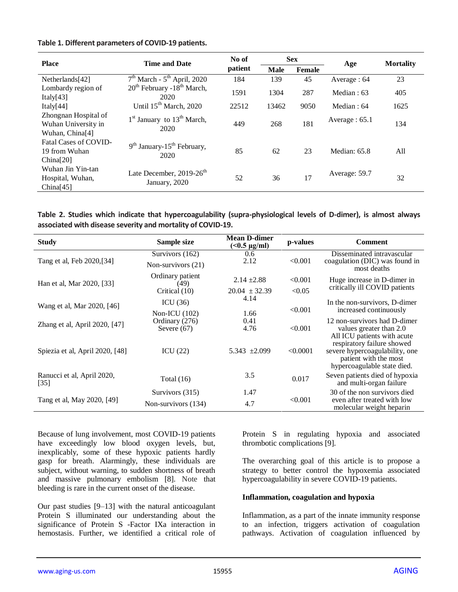#### **Table 1. Different parameters of COVID-19 patients.**

| <b>Place</b>                                                               | <b>Time and Date</b>                                       | No of<br>patient | <b>Sex</b>  |        | Age              | <b>Mortality</b> |
|----------------------------------------------------------------------------|------------------------------------------------------------|------------------|-------------|--------|------------------|------------------|
|                                                                            |                                                            |                  | <b>Male</b> | Female |                  |                  |
| Netherlands[42]                                                            | $7th March - 5th April, 2020$                              | 184              | 139         | 45     | Average: 64      | 23               |
| Lombardy region of<br>Italy $[43]$                                         | $20^{th}$ February -18 <sup>th</sup> March,<br>2020        | 1591             | 1304        | 287    | Median : 63      | 405              |
| Italy $[44]$                                                               | Until 15 <sup>th</sup> March, 2020                         | 22512            | 13462       | 9050   | Median: 64       | 1625             |
| Zhongnan Hospital of<br>Wuhan University in<br>Wuhan, China <sup>[4]</sup> | 1 <sup>st</sup> January to 13 <sup>th</sup> March,<br>2020 | 449              | 268         | 181    | Average : $65.1$ | 134              |
| <b>Fatal Cases of COVID-</b><br>19 from Wuhan<br>China[20]                 | $9th$ January-15 <sup>th</sup> February,<br>2020           | 85               | 62          | 23     | Median: $65.8$   | All              |
| Wuhan Jin Yin-tan<br>Hospital, Wuhan,<br>China[45]                         | Late December, $2019-26$ <sup>th</sup><br>January, 2020    | 52               | 36          | 17     | Average: 59.7    | 32               |

| Table 2. Studies which indicate that hypercoagulability (supra-physiological levels of D-dimer), is almost always |  |
|-------------------------------------------------------------------------------------------------------------------|--|
| associated with disease severity and mortality of COVID-19.                                                       |  |

| <b>Study</b>                         | Sample size              | <b>Mean D-dimer</b><br>$($ < 0.5 $\mu$ g/ml)              | p-values | <b>Comment</b>                                                                         |  |
|--------------------------------------|--------------------------|-----------------------------------------------------------|----------|----------------------------------------------------------------------------------------|--|
| Tang et al, Feb 2020, [34]           | Survivors (162)          | 0.6                                                       |          | Disseminated intravascular                                                             |  |
|                                      | Non-survivors $(21)$     | 2.12                                                      | < 0.001  | coagulation (DIC) was found in<br>most deaths                                          |  |
| Han et al, Mar 2020, [33]            | Ordinary patient<br>(49) | $2.14 \pm 2.88$<br>< 0.001<br>< 0.05<br>$20.04 \pm 32.39$ |          | Huge increase in D-dimer in<br>critically ill COVID patients                           |  |
|                                      | Critical (10)            |                                                           |          |                                                                                        |  |
| Wang et al, Mar 2020, [46]           | ICU $(36)$               | 4.14                                                      |          | In the non-survivors, D-dimer                                                          |  |
|                                      | Non-ICU $(102)$          | 1.66                                                      | < 0.001  | increased continuously                                                                 |  |
| Zhang et al, April 2020, [47]        | Ordinary (276)           | 0.41                                                      |          | 12 non-survivors had D-dimer                                                           |  |
|                                      | Severe $(67)$            | 4.76                                                      | < 0.001  | values greater than 2.0<br>All ICU patients with acute                                 |  |
|                                      |                          |                                                           |          | respiratory failure showed                                                             |  |
| Spiezia et al, April 2020, [48]      | ICU $(22)$               | 5.343 $\pm 2.099$                                         | < 0.0001 | severe hypercoagulability, one<br>patient with the most<br>hypercoagulable state died. |  |
|                                      |                          | 3.5                                                       |          |                                                                                        |  |
| Ranucci et al, April 2020,<br>$[35]$ | Total $(16)$             | 0.017                                                     |          | Seven patients died of hypoxia<br>and multi-organ failure                              |  |
|                                      | Survivors (315)          | 1.47                                                      |          | 30 of the non survivors died                                                           |  |
| Tang et al, May 2020, [49]           | Non-survivors (134)      | 4.7                                                       | < 0.001  | even after treated with low<br>molecular weight heparin                                |  |

Because of lung involvement, most COVID-19 patients have exceedingly low blood oxygen levels, but, inexplicably, some of these hypoxic patients hardly gasp for breath. Alarmingly, these individuals are subject, without warning, to sudden shortness of breath and massive pulmonary embolism [8]. Note that bleeding is rare in the current onset of the disease.

Our past studies [9–13] with the natural anticoagulant Protein S illuminated our understanding about the significance of Protein S -Factor IXa interaction in hemostasis. Further, we identified a critical role of

Protein S in regulating hypoxia and associated thrombotic complications [9].

The overarching goal of this article is to propose a strategy to better control the hypoxemia associated hypercoagulability in severe COVID-19 patients.

#### **Inflammation, coagulation and hypoxia**

Inflammation, as a part of the innate immunity response to an infection, triggers activation of coagulation pathways. Activation of coagulation influenced by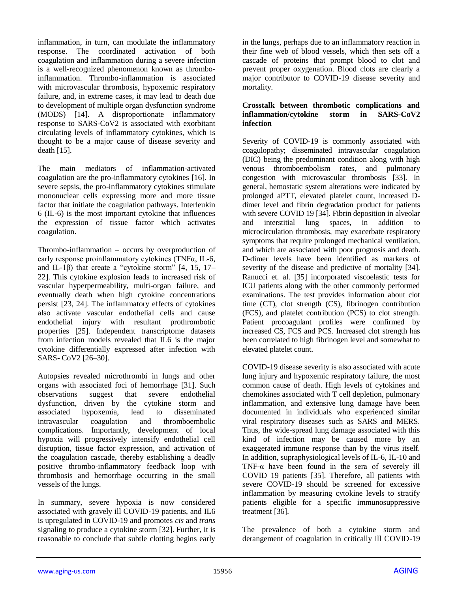inflammation, in turn, can modulate the inflammatory response. The coordinated activation of both coagulation and inflammation during a severe infection is a well-recognized phenomenon known as thromboinflammation. Thrombo-inflammation is associated with microvascular thrombosis, hypoxemic respiratory failure, and, in extreme cases, it may lead to death due to development of multiple organ dysfunction syndrome (MODS) [14]. A disproportionate inflammatory response to SARS-CoV2 is associated with exorbitant circulating levels of inflammatory cytokines, which is thought to be a major cause of disease severity and death [15].

The main mediators of inflammation-activated coagulation are the pro-inflammatory cytokines [16]. In severe sepsis, the pro-inflammatory cytokines stimulate mononuclear cells expressing more and more tissue factor that initiate the coagulation pathways. Interleukin 6 (IL-6) is the most important cytokine that influences the expression of tissue factor which activates coagulation.

Thrombo-inflammation – occurs by overproduction of early response proinflammatory cytokines (TNFα, IL-6, and IL-1 $\beta$ ) that create a "cytokine storm" [4, 15, 17– 22]. This cytokine explosion leads to increased risk of vascular hyperpermeability, multi-organ failure, and eventually death when high cytokine concentrations persist [23, 24]. The inflammatory effects of cytokines also activate vascular endothelial cells and cause endothelial injury with resultant prothrombotic properties [25]. Independent transcriptome datasets from infection models revealed that IL6 is the major cytokine differentially expressed after infection with SARS- CoV2 [26–30].

Autopsies revealed microthrombi in lungs and other organs with associated foci of hemorrhage [31]. Such observations suggest that severe endothelial dysfunction, driven by the cytokine storm and associated hypoxemia, lead to disseminated intravascular coagulation and thromboembolic complications. Importantly, development of local hypoxia will progressively intensify endothelial cell disruption, tissue factor expression, and activation of the coagulation cascade, thereby establishing a deadly positive thrombo-inflammatory feedback loop with thrombosis and hemorrhage occurring in the small vessels of the lungs.

In summary, severe hypoxia is now considered associated with gravely ill COVID-19 patients, and IL6 is upregulated in COVID-19 and promotes *cis* and *trans* signaling to produce a cytokine storm [32]. Further, it is reasonable to conclude that subtle clotting begins early

in the lungs, perhaps due to an inflammatory reaction in their fine web of blood vessels, which then sets off a cascade of proteins that prompt blood to clot and prevent proper oxygenation. Blood clots are clearly a major contributor to COVID-19 disease severity and mortality.

#### **Crosstalk between thrombotic complications and inflammation/cytokine storm in SARS-CoV2 infection**

Severity of COVID-19 is commonly associated with coagulopathy; disseminated intravascular coagulation (DIC) being the predominant condition along with high venous thromboembolism rates, and pulmonary congestion with microvascular thrombosis [33]. In general, hemostatic system alterations were indicated by prolonged aPTT, elevated platelet count, increased Ddimer level and fibrin degradation product for patients with severe COVID 19 [34]. Fibrin deposition in alveolar and interstitial lung spaces, in addition microcirculation thrombosis, may exacerbate respiratory symptoms that require prolonged mechanical ventilation, and which are associated with poor prognosis and death. D-dimer levels have been identified as markers of severity of the disease and predictive of mortality [34]. Ranucci et. al. [35] incorporated viscoelastic tests for ICU patients along with the other commonly performed examinations. The test provides information about clot time (CT), clot strength (CS), fibrinogen contribution (FCS), and platelet contribution (PCS) to clot strength. Patient procoagulant profiles were confirmed by increased CS, FCS and PCS. Increased clot strength has been correlated to high fibrinogen level and somewhat to elevated platelet count.

COVID-19 disease severity is also associated with acute lung injury and hypoxemic respiratory failure, the most common cause of death. High levels of cytokines and chemokines associated with T cell depletion, pulmonary inflammation, and extensive lung damage have been documented in individuals who experienced similar viral respiratory diseases such as SARS and MERS. Thus, the wide-spread lung damage associated with this kind of infection may be caused more by an exaggerated immune response than by the virus itself. In addition, supraphysiological levels of IL-6, IL-10 and TNF- $\alpha$  have been found in the sera of severely ill COVID 19 patients [35]. Therefore, all patients with severe COVID-19 should be screened for excessive inflammation by measuring cytokine levels to stratify patients eligible for a specific immunosuppressive treatment [36].

The prevalence of both a cytokine storm and derangement of coagulation in critically ill COVID-19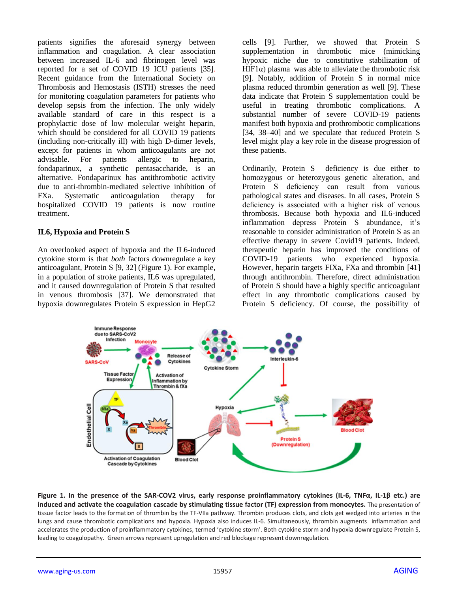patients signifies the aforesaid synergy between inflammation and coagulation. A clear association between increased IL-6 and fibrinogen level was reported for a set of COVID 19 ICU patients [35]. Recent guidance from the International Society on Thrombosis and Hemostasis (ISTH) stresses the need for monitoring coagulation parameters for patients who develop sepsis from the infection. The only widely available standard of care in this respect is a prophylactic dose of low molecular weight heparin, which should be considered for all COVID 19 patients (including non-critically ill) with high D-dimer levels, except for patients in whom anticoagulants are not advisable. For patients allergic to heparin, fondaparinux, a synthetic pentasaccharide, is an alternative. Fondaparinux has antithrombotic activity due to anti-thrombin-mediated selective inhibition of FXa. Systematic anticoagulation therapy for hospitalized COVID 19 patients is now routine treatment.

#### **IL6, Hypoxia and Protein S**

An overlooked aspect of hypoxia and the IL6-induced cytokine storm is that *both* factors downregulate a key anticoagulant, Protein S [9, 32] (Figure 1). For example, in a population of stroke patients, IL6 was upregulated, and it caused downregulation of Protein S that resulted in venous thrombosis [37]. We demonstrated that hypoxia downregulates Protein S expression in HepG2

cells [9]. Further, we showed that Protein S supplementation in thrombotic mice (mimicking hypoxic niche due to constitutive stabilization of HIF1 $\alpha$ ) plasma was able to alleviate the thrombotic risk [9]. Notably, addition of Protein S in normal mice plasma reduced thrombin generation as well [9]. These data indicate that Protein S supplementation could be useful in treating thrombotic complications. A substantial number of severe COVID-19 patients manifest both hypoxia and prothrombotic complications [34, 38–40] and we speculate that reduced Protein S level might play a key role in the disease progression of these patients.

Ordinarily, Protein S deficiency is due either to homozygous or heterozygous genetic alteration, and Protein S deficiency can result from various pathological states and diseases. In all cases, Protein S deficiency is associated with a higher risk of venous thrombosis. Because both hypoxia and IL6-induced inflammation depress Protein S abundance, it's reasonable to consider administration of Protein S as an effective therapy in severe Covid19 patients. Indeed, therapeutic heparin has improved the conditions of COVID-19 patients who experienced hypoxia. However, heparin targets FIXa, FXa and thrombin [41] through antithrombin. Therefore, direct administration of Protein S should have a highly specific anticoagulant effect in any thrombotic complications caused by Protein S deficiency. Of course, the possibility of



Figure 1. In the presence of the SAR-COV2 virus, early response proinflammatory cytokines (IL-6, TNF $\alpha$ , IL-1 $\beta$  etc.) are **induced and activate the coagulation cascade by stimulating tissue factor (TF) expression from monocytes.** The presentation of tissue factor leads to the formation of thrombin by the TF-VIIa pathway. Thrombin produces clots, and clots get wedged into arteries in the lungs and cause thrombotic complications and hypoxia. Hypoxia also induces IL-6. Simultaneously, thrombin augments inflammation and accelerates the production of proinflammatory cytokines, termed 'cytokine storm'. Both cytokine storm and hypoxia downregulate Protein S, leading to coagulopathy. Green arrows represent upregulation and red blockage represent downregulation.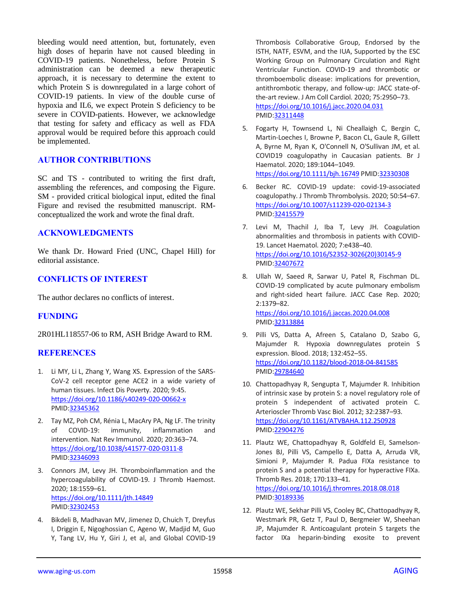bleeding would need attention, but, fortunately, even high doses of heparin have not caused bleeding in COVID-19 patients. Nonetheless, before Protein S administration can be deemed a new therapeutic approach, it is necessary to determine the extent to which Protein S is downregulated in a large cohort of COVID-19 patients. In view of the double curse of hypoxia and IL6, we expect Protein S deficiency to be severe in COVID-patients. However, we acknowledge that testing for safety and efficacy as well as FDA approval would be required before this approach could be implemented.

## **AUTHOR CONTRIBUTIONS**

SC and TS - contributed to writing the first draft, assembling the references, and composing the Figure. SM - provided critical biological input, edited the final Figure and revised the resubmitted manuscript. RMconceptualized the work and wrote the final draft.

### **ACKNOWLEDGMENTS**

We thank Dr. Howard Fried (UNC, Chapel Hill) for editorial assistance.

## **CONFLICTS OF INTEREST**

The author declares no conflicts of interest.

## **FUNDING**

2R01HL118557-06 to RM, ASH Bridge Award to RM.

#### **REFERENCES**

- 1. Li MY, Li L, Zhang Y, Wang XS. Expression of the SARS-CoV-2 cell receptor gene ACE2 in a wide variety of human tissues. Infect Dis Poverty. 2020; 9:45. <https://doi.org/10.1186/s40249-020-00662-x> PMID[:32345362](https://pubmed.ncbi.nlm.nih.gov/32345362)
- 2. Tay MZ, Poh CM, Rénia L, MacAry PA, Ng LF. The trinity of COVID-19: immunity, inflammation and intervention. Nat Rev Immunol. 2020; 20:363–74. <https://doi.org/10.1038/s41577-020-0311-8> PMID[:32346093](https://pubmed.ncbi.nlm.nih.gov/32346093)
- 3. Connors JM, Levy JH. Thromboinflammation and the hypercoagulability of COVID-19. J Thromb Haemost. 2020; 18:1559–61. <https://doi.org/10.1111/jth.14849> PMID[:32302453](https://pubmed.ncbi.nlm.nih.gov/32302453)
- 4. Bikdeli B, Madhavan MV, Jimenez D, Chuich T, Dreyfus I, Driggin E, Nigoghossian C, Ageno W, Madjid M, Guo Y, Tang LV, Hu Y, Giri J, et al, and Global COVID-19

Thrombosis Collaborative Group, Endorsed by the ISTH, NATF, ESVM, and the IUA, Supported by the ESC Working Group on Pulmonary Circulation and Right Ventricular Function. COVID-19 and thrombotic or thromboembolic disease: implications for prevention, antithrombotic therapy, and follow-up: JACC state-ofthe-art review. J Am Coll Cardiol. 2020; 75:2950–73. <https://doi.org/10.1016/j.jacc.2020.04.031> PMI[D:32311448](https://pubmed.ncbi.nlm.nih.gov/32311448)

- 5. Fogarty H, Townsend L, Ni Cheallaigh C, Bergin C, Martin-Loeches I, Browne P, Bacon CL, Gaule R, Gillett A, Byrne M, Ryan K, O'Connell N, O'Sullivan JM, et al. COVID19 coagulopathy in Caucasian patients. Br J Haematol. 2020; 189:1044–1049. <https://doi.org/10.1111/bjh.16749> PMID[:32330308](https://pubmed.ncbi.nlm.nih.gov/32330308)
- 6. Becker RC. COVID-19 update: covid-19-associated coagulopathy. J Thromb Thrombolysis. 2020; 50:54–67. <https://doi.org/10.1007/s11239-020-02134-3> PMI[D:32415579](https://pubmed.ncbi.nlm.nih.gov/32415579)
- 7. Levi M, Thachil J, Iba T, Levy JH. Coagulation abnormalities and thrombosis in patients with COVID-19. Lancet Haematol. 2020; 7:e438–40. [https://doi.org/10.1016/S2352-3026\(20\)30145-9](https://doi.org/10.1016/S2352-3026(20)30145-9) PMI[D:32407672](https://pubmed.ncbi.nlm.nih.gov/32407672)
- 8. Ullah W, Saeed R, Sarwar U, Patel R, Fischman DL. COVID-19 complicated by acute pulmonary embolism and right-sided heart failure. JACC Case Rep. 2020; 2:1379–82.

<https://doi.org/10.1016/j.jaccas.2020.04.008> PMI[D:32313884](https://pubmed.ncbi.nlm.nih.gov/32313884)

- 9. Pilli VS, Datta A, Afreen S, Catalano D, Szabo G, Majumder R. Hypoxia downregulates protein S expression. Blood. 2018; 132:452–55. <https://doi.org/10.1182/blood-2018-04-841585> PMI[D:29784640](https://pubmed.ncbi.nlm.nih.gov/29784640)
- 10. Chattopadhyay R, Sengupta T, Majumder R. Inhibition of intrinsic xase by protein S: a novel regulatory role of protein S independent of activated protein C. Arterioscler Thromb Vasc Biol. 2012; 32:2387–93. <https://doi.org/10.1161/ATVBAHA.112.250928> PMI[D:22904276](https://pubmed.ncbi.nlm.nih.gov/22904276)
- 11. Plautz WE, Chattopadhyay R, Goldfeld EI, Samelson-Jones BJ, Pilli VS, Campello E, Datta A, Arruda VR, Simioni P, Majumder R. Padua FIXa resistance to protein S and a potential therapy for hyperactive FIXa. Thromb Res. 2018; 170:133–41. <https://doi.org/10.1016/j.thromres.2018.08.018> PMI[D:30189336](https://pubmed.ncbi.nlm.nih.gov/30189336)
- 12. Plautz WE, Sekhar Pilli VS, Cooley BC, Chattopadhyay R, Westmark PR, Getz T, Paul D, Bergmeier W, Sheehan JP, Majumder R. Anticoagulant protein S targets the factor IXa heparin-binding exosite to prevent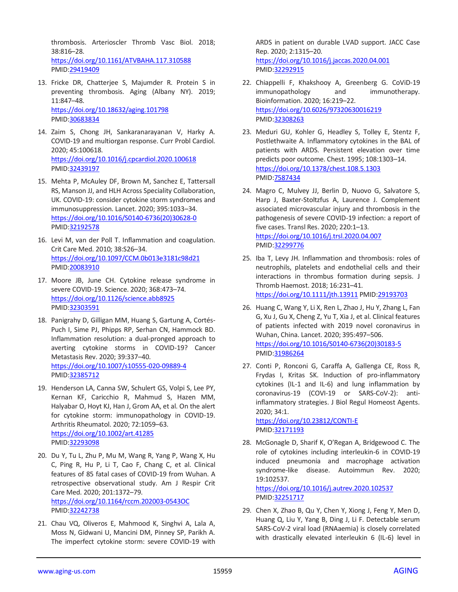thrombosis. Arterioscler Thromb Vasc Biol. 2018; 38:816–28. <https://doi.org/10.1161/ATVBAHA.117.310588> PMID[:29419409](https://pubmed.ncbi.nlm.nih.gov/29419409)

- 13. Fricke DR, Chatterjee S, Majumder R. Protein S in preventing thrombosis. Aging (Albany NY). 2019; 11:847–48. <https://doi.org/10.18632/aging.101798> PMID[:30683834](https://pubmed.ncbi.nlm.nih.gov/30683834)
- 14. Zaim S, Chong JH, Sankaranarayanan V, Harky A. COVID-19 and multiorgan response. Curr Probl Cardiol. 2020; 45:100618. <https://doi.org/10.1016/j.cpcardiol.2020.100618> PMID[:32439197](https://pubmed.ncbi.nlm.nih.gov/32439197)
- 15. Mehta P, McAuley DF, Brown M, Sanchez E, Tattersall RS, Manson JJ, and HLH Across Speciality Collaboration, UK. COVID-19: consider cytokine storm syndromes and immunosuppression. Lancet. 2020; 395:1033–34. [https://doi.org/10.1016/S0140-6736\(20\)30628-0](https://doi.org/10.1016/S0140-6736(20)30628-0) PMID[:32192578](https://pubmed.ncbi.nlm.nih.gov/32192578)
- 16. Levi M, van der Poll T. Inflammation and coagulation. Crit Care Med. 2010; 38:S26–34. <https://doi.org/10.1097/CCM.0b013e3181c98d21> PMID[:20083910](https://pubmed.ncbi.nlm.nih.gov/20083910)
- 17. Moore JB, June CH. Cytokine release syndrome in severe COVID-19. Science. 2020; 368:473–74. <https://doi.org/10.1126/science.abb8925> PMID[:32303591](https://pubmed.ncbi.nlm.nih.gov/32303591)
- 18. Panigrahy D, Gilligan MM, Huang S, Gartung A, Cortés-Puch I, Sime PJ, Phipps RP, Serhan CN, Hammock BD. Inflammation resolution: a dual-pronged approach to averting cytokine storms in COVID-19? Cancer Metastasis Rev. 2020; 39:337–40. <https://doi.org/10.1007/s10555-020-09889-4> PMID[:32385712](https://pubmed.ncbi.nlm.nih.gov/32385712)
- 19. Henderson LA, Canna SW, Schulert GS, Volpi S, Lee PY, Kernan KF, Caricchio R, Mahmud S, Hazen MM, Halyabar O, Hoyt KJ, Han J, Grom AA, et al. On the alert for cytokine storm: immunopathology in COVID-19. Arthritis Rheumatol. 2020; 72:1059–63. <https://doi.org/10.1002/art.41285> PMID[:32293098](https://pubmed.ncbi.nlm.nih.gov/32293098)
- 20. Du Y, Tu L, Zhu P, Mu M, Wang R, Yang P, Wang X, Hu C, Ping R, Hu P, Li T, Cao F, Chang C, et al. Clinical features of 85 fatal cases of COVID-19 from Wuhan. A retrospective observational study. Am J Respir Crit Care Med. 2020; 201:1372–79. <https://doi.org/10.1164/rccm.202003-0543OC> PMID[:32242738](https://pubmed.ncbi.nlm.nih.gov/32242738)
- 21. Chau VQ, Oliveros E, Mahmood K, Singhvi A, Lala A, Moss N, Gidwani U, Mancini DM, Pinney SP, Parikh A. The imperfect cytokine storm: severe COVID-19 with

ARDS in patient on durable LVAD support. JACC Case Rep. 2020; 2:1315–20. <https://doi.org/10.1016/j.jaccas.2020.04.001> PMI[D:32292915](https://pubmed.ncbi.nlm.nih.gov/32292915)

- 22. Chiappelli F, Khakshooy A, Greenberg G. CoViD-19 immunopathology and immunotherapy. Bioinformation. 2020; 16:219–22. <https://doi.org/10.6026/97320630016219> PMI[D:32308263](https://pubmed.ncbi.nlm.nih.gov/32308263)
- 23. Meduri GU, Kohler G, Headley S, Tolley E, Stentz F, Postlethwaite A. Inflammatory cytokines in the BAL of patients with ARDS. Persistent elevation over time predicts poor outcome. Chest. 1995; 108:1303–14. <https://doi.org/10.1378/chest.108.5.1303> PMI[D:7587434](https://pubmed.ncbi.nlm.nih.gov/7587434)
- 24. Magro C, Mulvey JJ, Berlin D, Nuovo G, Salvatore S, Harp J, Baxter-Stoltzfus A, Laurence J. Complement associated microvascular injury and thrombosis in the pathogenesis of severe COVID-19 infection: a report of five cases. Transl Res. 2020; 220:1–13. <https://doi.org/10.1016/j.trsl.2020.04.007> PMI[D:32299776](https://pubmed.ncbi.nlm.nih.gov/32299776)
- 25. Iba T, Levy JH. Inflammation and thrombosis: roles of neutrophils, platelets and endothelial cells and their interactions in thrombus formation during sepsis. J Thromb Haemost. 2018; 16:231–41. <https://doi.org/10.1111/jth.13911> PMID[:29193703](https://pubmed.ncbi.nlm.nih.gov/29193703)
- 26. Huang C, Wang Y, Li X, Ren L, Zhao J, Hu Y, Zhang L, Fan G, Xu J, Gu X, Cheng Z, Yu T, Xia J, et al. Clinical features of patients infected with 2019 novel coronavirus in Wuhan, China. Lancet. 2020; 395:497–506. [https://doi.org/10.1016/S0140-6736\(20\)30183-5](https://doi.org/10.1016/S0140-6736(20)30183-5) PMI[D:31986264](https://pubmed.ncbi.nlm.nih.gov/31986264)
- 27. Conti P, Ronconi G, Caraffa A, Gallenga CE, Ross R, Frydas I, Kritas SK. Induction of pro-inflammatory cytokines (IL-1 and IL-6) and lung inflammation by coronavirus-19 (COVI-19 or SARS-CoV-2): antiinflammatory strategies. J Biol Regul Homeost Agents. 2020; 34:1. <https://doi.org/10.23812/CONTI-E>
	- PMI[D:32171193](https://pubmed.ncbi.nlm.nih.gov/32171193)
- 28. McGonagle D, Sharif K, O'Regan A, Bridgewood C. The role of cytokines including interleukin-6 in COVID-19 induced pneumonia and macrophage activation syndrome-like disease. Autoimmun Rev. 2020; 19:102537. <https://doi.org/10.1016/j.autrev.2020.102537>

PMI[D:32251717](https://pubmed.ncbi.nlm.nih.gov/32251717)

29. Chen X, Zhao B, Qu Y, Chen Y, Xiong J, Feng Y, Men D, Huang Q, Liu Y, Yang B, Ding J, Li F. Detectable serum SARS-CoV-2 viral load (RNAaemia) is closely correlated with drastically elevated interleukin 6 (IL-6) level in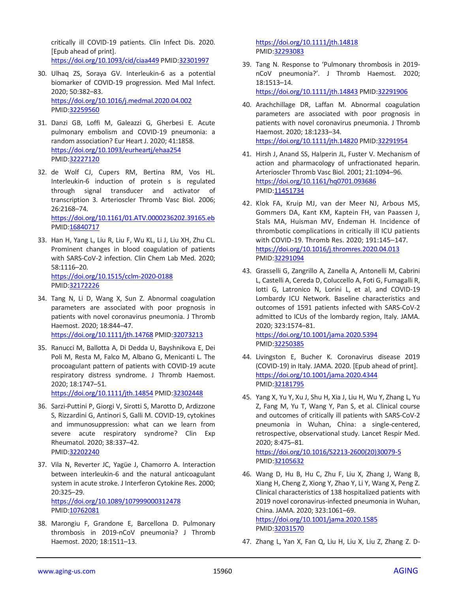critically ill COVID-19 patients. Clin Infect Dis. 2020. [Epub ahead of print].

<https://doi.org/10.1093/cid/ciaa449> PMI[D:32301997](https://pubmed.ncbi.nlm.nih.gov/32301997)

- 30. Ulhaq ZS, Soraya GV. Interleukin-6 as a potential biomarker of COVID-19 progression. Med Mal Infect. 2020; 50:382–83. <https://doi.org/10.1016/j.medmal.2020.04.002> PMID[:32259560](https://pubmed.ncbi.nlm.nih.gov/32259560)
- 31. Danzi GB, Loffi M, Galeazzi G, Gherbesi E. Acute pulmonary embolism and COVID-19 pneumonia: a random association? Eur Heart J. 2020; 41:1858. <https://doi.org/10.1093/eurheartj/ehaa254> PMID[:32227120](https://pubmed.ncbi.nlm.nih.gov/32227120)
- 32. de Wolf CJ, Cupers RM, Bertina RM, Vos HL. Interleukin-6 induction of protein s is regulated through signal transducer and activator of transcription 3. Arterioscler Thromb Vasc Biol. 2006; 26:2168–74. <https://doi.org/10.1161/01.ATV.0000236202.39165.eb> PMID[:16840717](https://pubmed.ncbi.nlm.nih.gov/16840717)
- 33. Han H, Yang L, Liu R, Liu F, Wu KL, Li J, Liu XH, Zhu CL. Prominent changes in blood coagulation of patients with SARS-CoV-2 infection. Clin Chem Lab Med. 2020; 58:1116–20. <https://doi.org/10.1515/cclm-2020-0188> PMID[:32172226](https://pubmed.ncbi.nlm.nih.gov/32172226)
- 34. Tang N, Li D, Wang X, Sun Z. Abnormal coagulation parameters are associated with poor prognosis in patients with novel coronavirus pneumonia. J Thromb Haemost. 2020; 18:844–47. <https://doi.org/10.1111/jth.14768> PMI[D:32073213](https://pubmed.ncbi.nlm.nih.gov/32073213)
- 35. Ranucci M, Ballotta A, Di Dedda U, Bayshnikova E, Dei Poli M, Resta M, Falco M, Albano G, Menicanti L. The procoagulant pattern of patients with COVID-19 acute respiratory distress syndrome. J Thromb Haemost. 2020; 18:1747–51.

<https://doi.org/10.1111/jth.14854> PMI[D:32302448](https://pubmed.ncbi.nlm.nih.gov/32302448)

- 36. Sarzi-Puttini P, Giorgi V, Sirotti S, Marotto D, Ardizzone S, Rizzardini G, Antinori S, Galli M. COVID-19, cytokines and immunosuppression: what can we learn from severe acute respiratory syndrome? Clin Exp Rheumatol. 2020; 38:337–42. PMID[:32202240](https://pubmed.ncbi.nlm.nih.gov/32202240)
- 37. Vila N, Reverter JC, Yagüe J, Chamorro A. Interaction between interleukin-6 and the natural anticoagulant system in acute stroke. J Interferon Cytokine Res. 2000; 20:325–29. <https://doi.org/10.1089/107999000312478> PMID[:10762081](https://pubmed.ncbi.nlm.nih.gov/10762081)
- 38. Marongiu F, Grandone E, Barcellona D. Pulmonary thrombosis in 2019-nCoV pneumonia? J Thromb Haemost. 2020; 18:1511–13.

<https://doi.org/10.1111/jth.14818> PMI[D:32293083](https://pubmed.ncbi.nlm.nih.gov/32293083)

39. Tang N. Response to 'Pulmonary thrombosis in 2019 nCoV pneumonia?'. J Thromb Haemost. 2020; 18:1513–14.

<https://doi.org/10.1111/jth.14843> PMID[:32291906](https://pubmed.ncbi.nlm.nih.gov/32291906)

- 40. Arachchillage DR, Laffan M. Abnormal coagulation parameters are associated with poor prognosis in patients with novel coronavirus pneumonia. J Thromb Haemost. 2020; 18:1233–34. <https://doi.org/10.1111/jth.14820> PMID[:32291954](https://pubmed.ncbi.nlm.nih.gov/32291954)
- 41. Hirsh J, Anand SS, Halperin JL, Fuster V. Mechanism of action and pharmacology of unfractionated heparin. Arterioscler Thromb Vasc Biol. 2001; 21:1094–96. <https://doi.org/10.1161/hq0701.093686> PMI[D:11451734](https://pubmed.ncbi.nlm.nih.gov/11451734)
- 42. Klok FA, Kruip MJ, van der Meer NJ, Arbous MS, Gommers DA, Kant KM, Kaptein FH, van Paassen J, Stals MA, Huisman MV, Endeman H. Incidence of thrombotic complications in critically ill ICU patients with COVID-19. Thromb Res. 2020; 191:145–147. <https://doi.org/10.1016/j.thromres.2020.04.013> PMI[D:32291094](https://pubmed.ncbi.nlm.nih.gov/32291094)
- 43. Grasselli G, Zangrillo A, Zanella A, Antonelli M, Cabrini L, Castelli A, Cereda D, Coluccello A, Foti G, Fumagalli R, Iotti G, Latronico N, Lorini L, et al, and COVID-19 Lombardy ICU Network. Baseline characteristics and outcomes of 1591 patients infected with SARS-CoV-2 admitted to ICUs of the lombardy region, Italy. JAMA. 2020; 323:1574–81. <https://doi.org/10.1001/jama.2020.5394>

PMI[D:32250385](https://pubmed.ncbi.nlm.nih.gov/32250385)

- 44. Livingston E, Bucher K. Coronavirus disease 2019 (COVID-19) in Italy. JAMA. 2020. [Epub ahead of print]. <https://doi.org/10.1001/jama.2020.4344> PMI[D:32181795](https://pubmed.ncbi.nlm.nih.gov/32181795)
- 45. Yang X, Yu Y, Xu J, Shu H, Xia J, Liu H, Wu Y, Zhang L, Yu Z, Fang M, Yu T, Wang Y, Pan S, et al. Clinical course and outcomes of critically ill patients with SARS-CoV-2 pneumonia in Wuhan, China: a single-centered, retrospective, observational study. Lancet Respir Med. 2020; 8:475–81.

[https://doi.org/10.1016/S2213-2600\(20\)30079-5](https://doi.org/10.1016/S2213-2600(20)30079-5) PMI[D:32105632](https://pubmed.ncbi.nlm.nih.gov/32105632)

- 46. Wang D, Hu B, Hu C, Zhu F, Liu X, Zhang J, Wang B, Xiang H, Cheng Z, Xiong Y, Zhao Y, Li Y, Wang X, Peng Z. Clinical characteristics of 138 hospitalized patients with 2019 novel coronavirus-infected pneumonia in Wuhan, China. JAMA. 2020; 323:1061–69. <https://doi.org/10.1001/jama.2020.1585> PMI[D:32031570](https://pubmed.ncbi.nlm.nih.gov/32031570)
- 47. Zhang L, Yan X, Fan Q, Liu H, Liu X, Liu Z, Zhang Z. D-